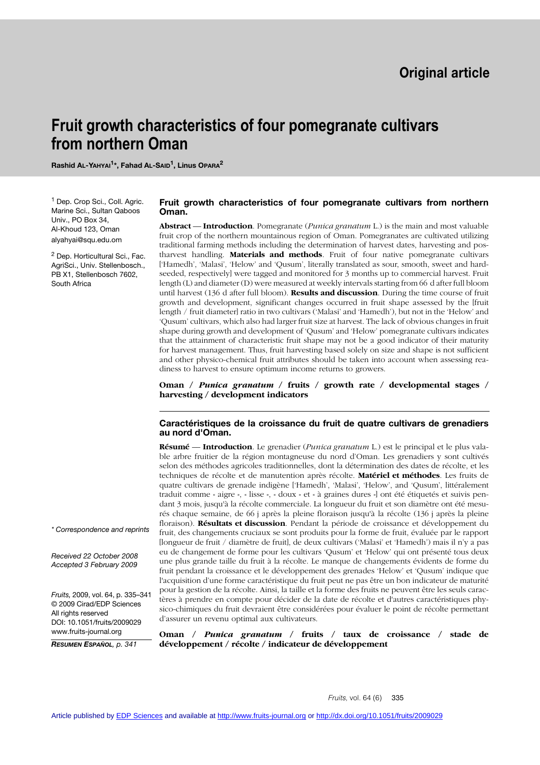# **Fruit growth characteristics of four pomegranate cultivars from northern Oman**

**Rashid AL-YAHYAI1\*, Fahad AL-SAID1, Linus OPARA2**

<sup>1</sup> Dep. Crop Sci., Coll. Agric. Marine Sci., Sultan Qaboos Univ., PO Box 34, Al-Khoud 123, Oman alyahyai@squ.edu.om

<sup>2</sup> Dep. Horticultural Sci., Fac. AgriSci., Univ. Stellenbosch., PB X1, Stellenbosch 7602, South Africa

#### **Fruit growth characteristics of four pomegranate cultivars from northern Oman.**

**Abstract** –– **Introduction**. Pomegranate (*Punica granatum* L.) is the main and most valuable fruit crop of the northern mountainous region of Oman. Pomegranates are cultivated utilizing traditional farming methods including the determination of harvest dates, harvesting and postharvest handling. **Materials and methods**. Fruit of four native pomegranate cultivars ['Hamedh', 'Malasi', 'Helow' and 'Qusum', literally translated as sour, smooth, sweet and hardseeded, respectively] were tagged and monitored for 3 months up to commercial harvest. Fruit length (L) and diameter (D) were measured at weekly intervals starting from 66 d after full bloom until harvest (136 d after full bloom). **Results and discussion**. During the time course of fruit growth and development, significant changes occurred in fruit shape assessed by the [fruit length / fruit diameter] ratio in two cultivars ('Malasi' and 'Hamedh'), but not in the 'Helow' and 'Qusum' cultivars, which also had larger fruit size at harvest. The lack of obvious changes in fruit shape during growth and development of 'Qusum' and 'Helow' pomegranate cultivars indicates that the attainment of characteristic fruit shape may not be a good indicator of their maturity for harvest management. Thus, fruit harvesting based solely on size and shape is not sufficient and other physico-chemical fruit attributes should be taken into account when assessing readiness to harvest to ensure optimum income returns to growers.

**Oman /** *Punica granatum* **/ fruits / growth rate / developmental stages / harvesting / development indicators**

#### **Caractéristiques de la croissance du fruit de quatre cultivars de grenadiers au nord d'Oman.**

**Résumé** –– **Introduction**. Le grenadier (*Punica granatum* L.) est le principal et le plus valable arbre fruitier de la région montagneuse du nord d'Oman. Les grenadiers y sont cultivés selon des méthodes agricoles traditionnelles, dont la détermination des dates de récolte, et les techniques de récolte et de manutention après récolte. **Matériel et méthodes**. Les fruits de quatre cultivars de grenade indigène ['Hamedh', 'Malasi', 'Helow', and 'Qusum', littéralement traduit comme « aigre », « lisse », « doux » et « à graines dures »] ont été étiquetés et suivis pendant 3 mois, jusqu'à la récolte commerciale. La longueur du fruit et son diamètre ont été mesurés chaque semaine, de 66 j après la pleine floraison jusqu'à la récolte (136 j après la pleine floraison). **Résultats et discussion**. Pendant la période de croissance et développement du fruit, des changements cruciaux se sont produits pour la forme de fruit, évaluée par le rapport [longueur de fruit / diamètre de fruit], de deux cultivars ('Malasi' et 'Hamedh') mais il n'y a pas eu de changement de forme pour les cultivars 'Qusum' et 'Helow' qui ont présenté tous deux une plus grande taille du fruit à la récolte. Le manque de changements évidents de forme du fruit pendant la croissance et le développement des grenades 'Helow' et 'Qusum' indique que l'acquisition d'une forme caractéristique du fruit peut ne pas être un bon indicateur de maturité pour la gestion de la récolte. Ainsi, la taille et la forme des fruits ne peuvent être les seuls caractères à prendre en compte pour décider de la date de récolte et d'autres caractéristiques physico-chimiques du fruit devraient être considérées pour évaluer le point de récolte permettant d'assurer un revenu optimal aux cultivateurs.

**Oman /** *Punica granatum* **/ fruits / taux de croissance / stade de développement / récolte / indicateur de développement**

*\* Correspondence and reprints*

*Received 22 October 2008 Accepted 3 February 2009*

*Fruits,* 2009, vol. 64, p. 335–341 © 2009 Cirad/EDP Sciences All rights reserved DOI: 10.1051/fruits/2009029 www.fruits-journal.org

*RESUMEN ESPAÑOL, p. 341*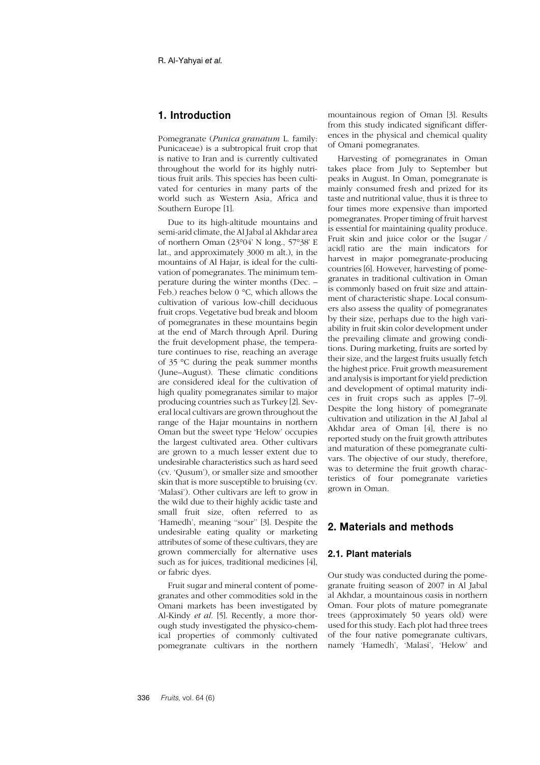# **1. Introduction**

Pomegranate (*Punica granatum* L. family: Punicaceae) is a subtropical fruit crop that is native to Iran and is currently cultivated throughout the world for its highly nutritious fruit arils. This species has been cultivated for centuries in many parts of the world such as Western Asia, Africa and Southern Europe [1].

Due to its high-altitude mountains and semi-arid climate, the Al Jabal al Akhdar area of northern Oman (23°04' N long., 57°38' E lat., and approximately 3000 m alt.), in the mountains of Al Hajar, is ideal for the cultivation of pomegranates. The minimum temperature during the winter months (Dec. – Feb.) reaches below 0 °C, which allows the cultivation of various low-chill deciduous fruit crops. Vegetative bud break and bloom of pomegranates in these mountains begin at the end of March through April. During the fruit development phase, the temperature continues to rise, reaching an average of 35 °C during the peak summer months (June–August). These climatic conditions are considered ideal for the cultivation of high quality pomegranates similar to major producing countries such as Turkey [2]. Several local cultivars are grown throughout the range of the Hajar mountains in northern Oman but the sweet type 'Helow' occupies the largest cultivated area. Other cultivars are grown to a much lesser extent due to undesirable characteristics such as hard seed (cv. 'Qusum'), or smaller size and smoother skin that is more susceptible to bruising (cv. 'Malasi'). Other cultivars are left to grow in the wild due to their highly acidic taste and small fruit size, often referred to as 'Hamedh', meaning ''sour'' [3]. Despite the undesirable eating quality or marketing attributes of some of these cultivars, they are grown commercially for alternative uses such as for juices, traditional medicines [4], or fabric dyes.

Fruit sugar and mineral content of pomegranates and other commodities sold in the Omani markets has been investigated by Al-Kindy *et al.* [5]. Recently, a more thorough study investigated the physico-chemical properties of commonly cultivated pomegranate cultivars in the northern mountainous region of Oman [3]. Results from this study indicated significant differences in the physical and chemical quality of Omani pomegranates.

Harvesting of pomegranates in Oman takes place from July to September but peaks in August. In Oman, pomegranate is mainly consumed fresh and prized for its taste and nutritional value, thus it is three to four times more expensive than imported pomegranates. Proper timing of fruit harvest is essential for maintaining quality produce. Fruit skin and juice color or the [sugar / acid] ratio are the main indicators for harvest in major pomegranate-producing countries [6]. However, harvesting of pomegranates in traditional cultivation in Oman is commonly based on fruit size and attainment of characteristic shape. Local consumers also assess the quality of pomegranates by their size, perhaps due to the high variability in fruit skin color development under the prevailing climate and growing conditions. During marketing, fruits are sorted by their size, and the largest fruits usually fetch the highest price. Fruit growth measurement and analysis is important for yield prediction and development of optimal maturity indices in fruit crops such as apples [7–9]. Despite the long history of pomegranate cultivation and utilization in the Al Jabal al Akhdar area of Oman [4], there is no reported study on the fruit growth attributes and maturation of these pomegranate cultivars. The objective of our study, therefore, was to determine the fruit growth characteristics of four pomegranate varieties grown in Oman.

# **2. Materials and methods**

#### **2.1. Plant materials**

Our study was conducted during the pomegranate fruiting season of 2007 in Al Jabal al Akhdar, a mountainous oasis in northern Oman. Four plots of mature pomegranate trees (approximately 50 years old) were used for this study. Each plot had three trees of the four native pomegranate cultivars, namely 'Hamedh', 'Malasi', 'Helow' and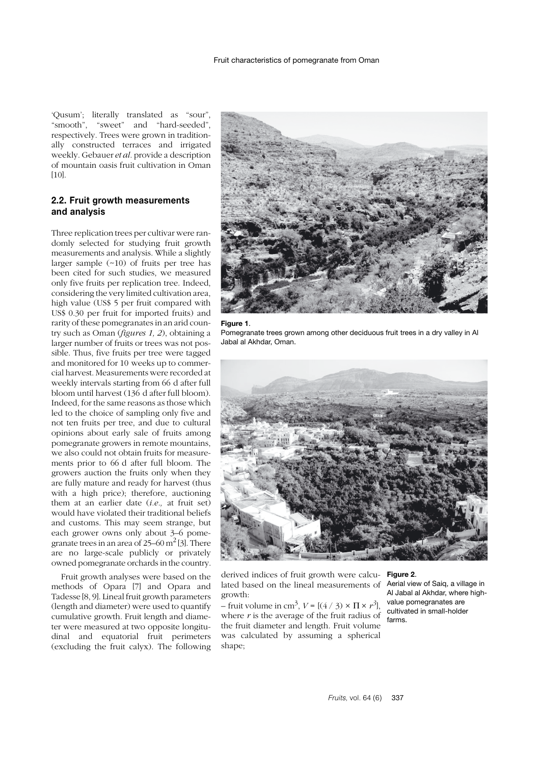'Qusum'; literally translated as "sour", "smooth", "sweet" and "hard-seeded", respectively. Trees were grown in traditionally constructed terraces and irrigated weekly. Gebauer *et al.* provide a description of mountain oasis fruit cultivation in Oman  $[10]$ .

### **2.2. Fruit growth measurements and analysis**

Three replication trees per cultivar were randomly selected for studying fruit growth measurements and analysis. While a slightly larger sample (~10) of fruits per tree has been cited for such studies, we measured only five fruits per replication tree. Indeed, considering the very limited cultivation area, high value (US\$ 5 per fruit compared with US\$ 0.30 per fruit for imported fruits) and rarity of these pomegranates in an arid country such as Oman (*figures 1, 2*), obtaining a larger number of fruits or trees was not possible. Thus, five fruits per tree were tagged and monitored for 10 weeks up to commercial harvest. Measurements were recorded at weekly intervals starting from 66 d after full bloom until harvest (136 d after full bloom). Indeed, for the same reasons as those which led to the choice of sampling only five and not ten fruits per tree, and due to cultural opinions about early sale of fruits among pomegranate growers in remote mountains, we also could not obtain fruits for measurements prior to 66 d after full bloom. The growers auction the fruits only when they are fully mature and ready for harvest (thus with a high price); therefore, auctioning them at an earlier date (*i.e.,* at fruit set) would have violated their traditional beliefs and customs. This may seem strange, but each grower owns only about 3–6 pomegranate trees in an area of 25–60 m<sup>2</sup> [3]. There are no large-scale publicly or privately owned pomegranate orchards in the country.

Fruit growth analyses were based on the methods of Opara [7] and Opara and Tadesse [8, 9]. Lineal fruit growth parameters (length and diameter) were used to quantify cumulative growth. Fruit length and diameter were measured at two opposite longitudinal and equatorial fruit perimeters (excluding the fruit calyx). The following



#### **Figure 1**.

Pomegranate trees grown among other deciduous fruit trees in a dry valley in Al Jabal al Akhdar, Oman.



derived indices of fruit growth were calcu-**Figure 2**. lated based on the lineal measurements of growth:

– fruit volume in cm<sup>3</sup>,  $V = [(4 / 3) \times \Pi \times r^3]$ , where  $r$  is the average of the fruit radius of the fruit diameter and length. Fruit volume was calculated by assuming a spherical shape;

Aerial view of Saiq, a village in Al Jabal al Akhdar, where highvalue pomegranates are cultivated in small-holder farms.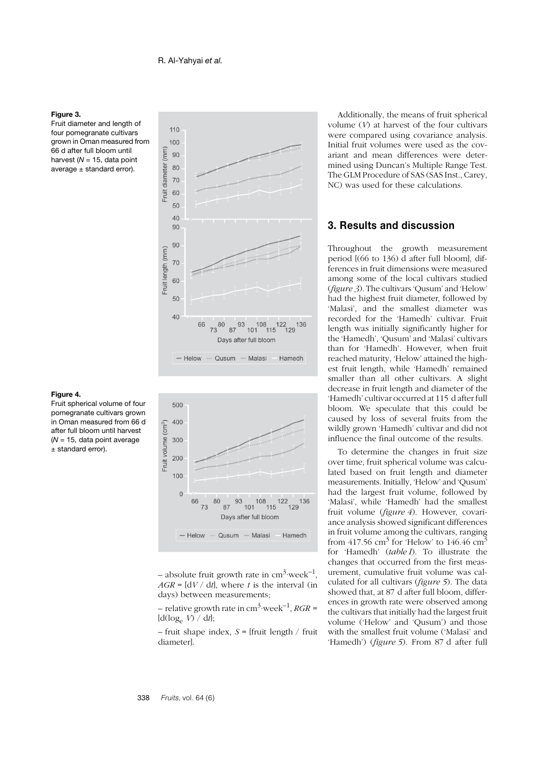#### **Figure 3.**

Fruit diameter and length of four pomegranate cultivars grown in Oman measured from 66 d after full bloom until harvest (*N* = 15, data point average  $\pm$  standard error).



#### **Figure 4.**

Fruit spherical volume of four pomegranate cultivars grown in Oman measured from 66 d after full bloom until harvest (*N* = 15, data point average ± standard error).



– absolute fruit growth rate in  $cm<sup>3</sup> \cdot week<sup>-1</sup>$ .  $AGR = [dV/dt]$ , where *t* is the interval (in days) between measurements;

 $-$  relative growth rate in cm<sup>3</sup>·week<sup>-1</sup>, *RGR* =  $[d(\log_e V)/dt]$ ;

 $-$  fruit shape index,  $S =$  [fruit length / fruit diameter].

Additionally, the means of fruit spherical volume (*V*) at harvest of the four cultivars were compared using covariance analysis. Initial fruit volumes were used as the covariant and mean differences were determined using Duncan's Multiple Range Test. The GLM Procedure of SAS (SAS Inst., Carey, NC) was used for these calculations.

# **3. Results and discussion**

Throughout the growth measurement period [(66 to 136) d after full bloom], differences in fruit dimensions were measured among some of the local cultivars studied (*figure 3*). The cultivars 'Qusum' and 'Helow' had the highest fruit diameter, followed by 'Malasi', and the smallest diameter was recorded for the 'Hamedh' cultivar. Fruit length was initially significantly higher for the 'Hamedh', 'Qusum' and 'Malasi' cultivars than for 'Hamedh'. However, when fruit reached maturity, 'Helow' attained the highest fruit length, while 'Hamedh' remained smaller than all other cultivars. A slight decrease in fruit length and diameter of the 'Hamedh' cultivar occurred at 115 d after full bloom. We speculate that this could be caused by loss of several fruits from the wildly grown 'Hamedh' cultivar and did not influence the final outcome of the results.

To determine the changes in fruit size over time, fruit spherical volume was calculated based on fruit length and diameter measurements. Initially, 'Helow' and 'Qusum' had the largest fruit volume, followed by 'Malasi', while 'Hamedh' had the smallest fruit volume (*figure 4*). However, covariance analysis showed significant differences in fruit volume among the cultivars, ranging from  $417.56$  cm<sup>3</sup> for 'Helow' to 146.46 cm<sup>3</sup> for 'Hamedh' (*table I*). To illustrate the changes that occurred from the first measurement, cumulative fruit volume was calculated for all cultivars (*figure 5*). The data showed that, at 87 d after full bloom, differences in growth rate were observed among the cultivars that initially had the largest fruit volume ('Helow' and 'Qusum') and those with the smallest fruit volume ('Malasi' and 'Hamedh') (*figure 5*). From 87 d after full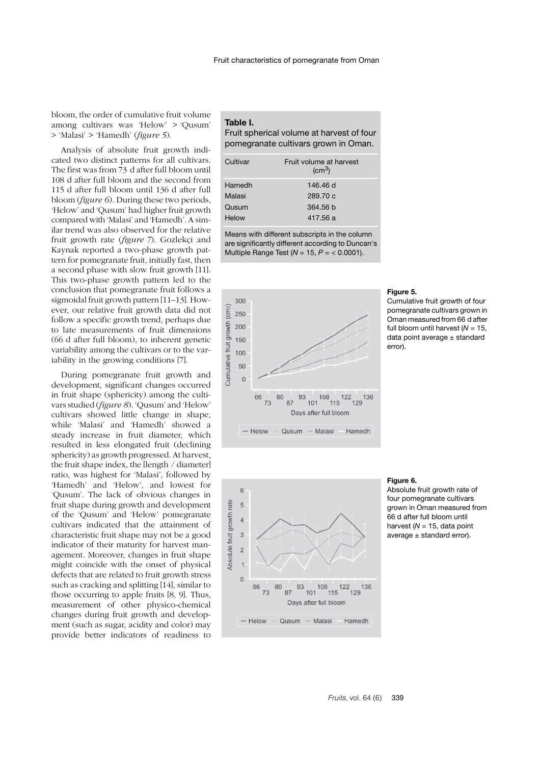bloom, the order of cumulative fruit volume among cultivars was 'Helow' > 'Qusum' > 'Malasi' > 'Hamedh' (*figure 5*).

Analysis of absolute fruit growth indicated two distinct patterns for all cultivars. The first was from 73 d after full bloom until 108 d after full bloom and the second from 115 d after full bloom until 136 d after full bloom (*figure 6*). During these two periods, 'Helow' and 'Qusum' had higher fruit growth compared with 'Malasi' and 'Hamedh'. A similar trend was also observed for the relative fruit growth rate (*figure 7*). Gozlekçi and Kaynak reported a two-phase growth pattern for pomegranate fruit, initially fast, then a second phase with slow fruit growth [11]. This two-phase growth pattern led to the conclusion that pomegranate fruit follows a sigmoidal fruit growth pattern [11–13]. However, our relative fruit growth data did not follow a specific growth trend, perhaps due to late measurements of fruit dimensions (66 d after full bloom), to inherent genetic variability among the cultivars or to the variability in the growing conditions [7].

During pomegranate fruit growth and development, significant changes occurred in fruit shape (sphericity) among the cultivars studied (*figure 8*). 'Qusum' and 'Helow' cultivars showed little change in shape, while 'Malasi' and 'Hamedh' showed a steady increase in fruit diameter, which resulted in less elongated fruit (declining sphericity) as growth progressed. At harvest, the fruit shape index, the [length / diameter] ratio, was highest for 'Malasi', followed by 'Hamedh' and 'Helow', and lowest for 'Qusum'. The lack of obvious changes in fruit shape during growth and development of the 'Qusum' and 'Helow' pomegranate cultivars indicated that the attainment of characteristic fruit shape may not be a good indicator of their maturity for harvest management. Moreover, changes in fruit shape might coincide with the onset of physical defects that are related to fruit growth stress such as cracking and splitting [14], similar to those occurring to apple fruits [8, 9]. Thus, measurement of other physico-chemical changes during fruit growth and development (such as sugar, acidity and color) may provide better indicators of readiness to

#### **Table I.**

Fruit spherical volume at harvest of four pomegranate cultivars grown in Oman.

| Cultivar | Fruit volume at harvest<br>$\text{(cm}^3\text{)}$ |
|----------|---------------------------------------------------|
| Hamedh   | 146.46 d                                          |
| Malasi   | 289.70c                                           |
| Qusum    | 364.56h                                           |
| Helow    | 417.56a                                           |

Means with different subscripts in the column are significantly different according to Duncan's Multiple Range Test (*N* = 15, *P* = < 0.0001).



#### 6 5  $\overline{4}$  $\overline{3}$  $\overline{c}$  $\overline{1}$  $\Omega$  $\frac{3}{101}$  108 66 80 93  $\frac{122}{115}$  129 136  $73$ 87 Days after full bloom

- Helow - Qusum - Malasi

rate

Absolute fruit arowth

#### **Figure 5.**

Cumulative fruit growth of four pomegranate cultivars grown in Oman measured from 66 d after full bloom until harvest (*N* = 15, data point average  $\pm$  standard error).

#### **Figure 6.**

Absolute fruit growth rate of four pomegranate cultivars grown in Oman measured from 66 d after full bloom until harvest (*N* = 15, data point average  $\pm$  standard error).

Hamedh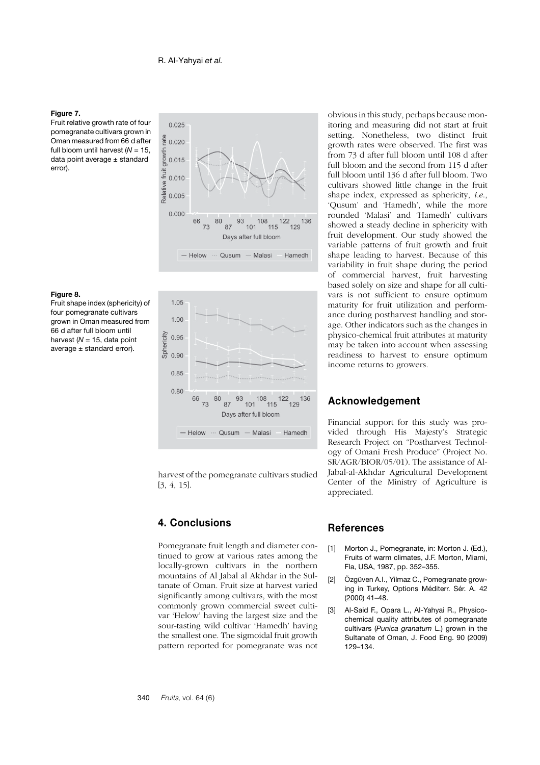#### **Figure 7.**

Fruit relative growth rate of four pomegranate cultivars grown in Oman measured from 66 d after full bloom until harvest (*N* = 15, data point average ± standard error).



#### **Figure 8.**

Fruit shape index (sphericity) of four pomegranate cultivars grown in Oman measured from 66 d after full bloom until harvest (*N* = 15, data point average  $\pm$  standard error).



harvest of the pomegranate cultivars studied [3, 4, 15].

# **4. Conclusions**

Pomegranate fruit length and diameter continued to grow at various rates among the locally-grown cultivars in the northern mountains of Al Jabal al Akhdar in the Sultanate of Oman. Fruit size at harvest varied significantly among cultivars, with the most commonly grown commercial sweet cultivar 'Helow' having the largest size and the sour-tasting wild cultivar 'Hamedh' having the smallest one. The sigmoidal fruit growth pattern reported for pomegranate was not obvious in this study, perhaps because monitoring and measuring did not start at fruit setting. Nonetheless, two distinct fruit growth rates were observed. The first was from 73 d after full bloom until 108 d after full bloom and the second from 115 d after full bloom until 136 d after full bloom. Two cultivars showed little change in the fruit shape index, expressed as sphericity, *i.e*., 'Qusum' and 'Hamedh', while the more rounded 'Malasi' and 'Hamedh' cultivars showed a steady decline in sphericity with fruit development. Our study showed the variable patterns of fruit growth and fruit shape leading to harvest. Because of this variability in fruit shape during the period of commercial harvest, fruit harvesting based solely on size and shape for all cultivars is not sufficient to ensure optimum maturity for fruit utilization and performance during postharvest handling and storage. Other indicators such as the changes in physico-chemical fruit attributes at maturity may be taken into account when assessing readiness to harvest to ensure optimum income returns to growers.

# **Acknowledgement**

Financial support for this study was provided through His Majesty's Strategic Research Project on "Postharvest Technology of Omani Fresh Produce" (Project No. SR/AGR/BIOR/05/01). The assistance of Al-Jabal-al-Akhdar Agricultural Development Center of the Ministry of Agriculture is appreciated.

## **References**

- [1] Morton J., Pomegranate, in: Morton J. (Ed.), Fruits of warm climates, J.F. Morton, Miami, Fla, USA, 1987, pp. 352–355.
- [2] Özgüven A.I., Yilmaz C., Pomegranate growing in Turkey, Options Méditerr. Sér. A. 42 (2000) 41–48.
- [3] Al-Said F., Opara L., Al-Yahyai R., Physicochemical quality attributes of pomegranate cultivars (*Punica granatum* L.) grown in the Sultanate of Oman, J. Food Eng. 90 (2009) 129–134.